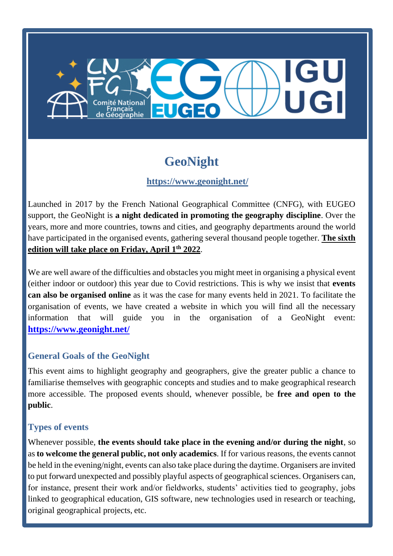# EUCEO ançais<br>éographie

# **GeoNight**

# **<https://www.geonight.net/>**

Launched in 2017 by the French National Geographical Committee (CNFG), with EUGEO support, the GeoNight is **a night dedicated in promoting the geography discipline**. Over the years, more and more countries, towns and cities, and geography departments around the world have participated in the organised events, gathering several thousand people together. **The sixth edition will take place on Friday, April 1 th 2022**.

We are well aware of the difficulties and obstacles you might meet in organising a physical event (either indoor or outdoor) this year due to Covid restrictions. This is why we insist that **events can also be organised online** as it was the case for many events held in 2021. To facilitate the organisation of events, we have created a website in which you will find all the necessary information that will guide you in the organisation of a GeoNight event: **<https://www.geonight.net/>**

## **General Goals of the GeoNight**

This event aims to highlight geography and geographers, give the greater public a chance to familiarise themselves with geographic concepts and studies and to make geographical research more accessible. The proposed events should, whenever possible, be **free and open to the public**.

## **Types of events**

Whenever possible, **the events should take place in the evening and/or during the night**, so as **to welcome the general public, not only academics**. If for various reasons, the events cannot be held in the evening/night, events can also take place during the daytime. Organisers are invited to put forward unexpected and possibly playful aspects of geographical sciences. Organisers can, for instance, present their work and/or fieldworks, students' activities tied to geography, jobs linked to geographical education, GIS software, new technologies used in research or teaching, original geographical projects, etc.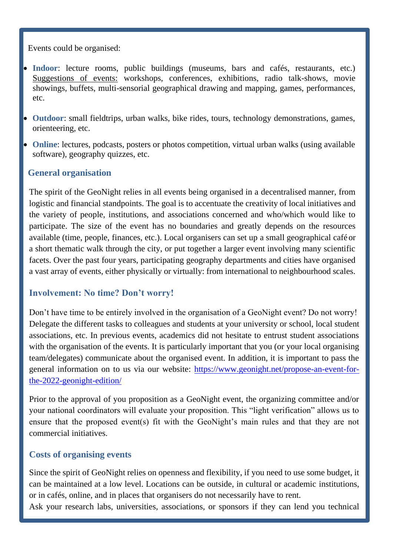Events could be organised:

- **Indoor**: lecture rooms, public buildings (museums, bars and cafés, restaurants, etc.) Suggestions of events: workshops, conferences, exhibitions, radio talk-shows, movie showings, buffets, multi-sensorial geographical drawing and mapping, games, performances, etc.
- **Outdoor**: small fieldtrips, urban walks, bike rides, tours, technology demonstrations, games, orienteering, etc.
- **Online**: lectures, podcasts, posters or photos competition, virtual urban walks (using available software), geography quizzes, etc.

#### **General organisation**

The spirit of the GeoNight relies in all events being organised in a decentralised manner, from logistic and financial standpoints. The goal is to accentuate the creativity of local initiatives and the variety of people, institutions, and associations concerned and who/which would like to participate. The size of the event has no boundaries and greatly depends on the resources available (time, people, finances, etc.). Local organisers can set up a small geographical café or a short thematic walk through the city, or put together a larger event involving many scientific facets. Over the past four years, participating geography departments and cities have organised a vast array of events, either physically or virtually: from international to neighbourhood scales.

#### **Involvement: No time? Don't worry!**

Don't have time to be entirely involved in the organisation of a GeoNight event? Do not worry! Delegate the different tasks to colleagues and students at your university or school, local student associations, etc. In previous events, academics did not hesitate to entrust student associations with the organisation of the events. It is particularly important that you (or your local organising team/delegates) communicate about the organised event. In addition, it is important to pass the general information on to us via our website: [https://www.geonight.net/propose-an-event-for](https://www.geonight.net/propose-an-event-for-the-2022-geonight-edition/)[the-2022-geonight-edition/](https://www.geonight.net/propose-an-event-for-the-2022-geonight-edition/)

Prior to the approval of you proposition as a GeoNight event, the organizing committee and/or your national coordinators will evaluate your proposition. This "light verification" allows us to ensure that the proposed event(s) fit with the GeoNight's main rules and that they are not commercial initiatives.

#### **Costs of organising events**

Since the spirit of GeoNight relies on openness and flexibility, if you need to use some budget, it can be maintained at a low level. Locations can be outside, in cultural or academic institutions, or in cafés, online, and in places that organisers do not necessarily have to rent.

Ask your research labs, universities, associations, or sponsors if they can lend you technical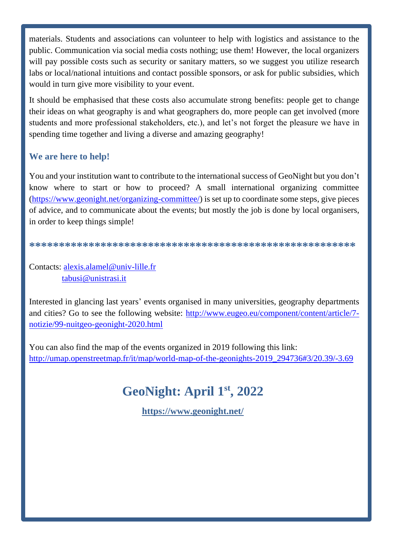materials. Students and associations can volunteer to help with logistics and assistance to the public. Communication via social media costs nothing; use them! However, the local organizers will pay possible costs such as security or sanitary matters, so we suggest you utilize research labs or local/national intuitions and contact possible sponsors, or ask for public subsidies, which would in turn give more visibility to your event.

It should be emphasised that these costs also accumulate strong benefits: people get to change their ideas on what geography is and what geographers do, more people can get involved (more students and more professional stakeholders, etc.), and let's not forget the pleasure we have in spending time together and living a diverse and amazing geography!

### We are here to help!

You and your institution want to contribute to the international success of GeoNight but you don't know where to start or how to proceed? A small international organizing committee (https://www.geonight.net/organizing-committee/) is set up to coordinate some steps, give pieces of advice, and to communicate about the events; but mostly the job is done by local organisers, in order to keep things simple!

Contacts: alexis.alamel@univ-lille.fr tabusi@unistrasi.it

Interested in glancing last years' events organised in many universities, geography departments and cities? Go to see the following website: http://www.eugeo.eu/component/content/article/7notizie/99-nuitgeo-geonight-2020.html

You can also find the map of the events organized in 2019 following this link: http://umap.openstreetmap.fr/it/map/world-map-of-the-geonights-2019 294736#3/20.39/-3.69

# GeoNight: April 1st, 2022

https://www.geonight.net/